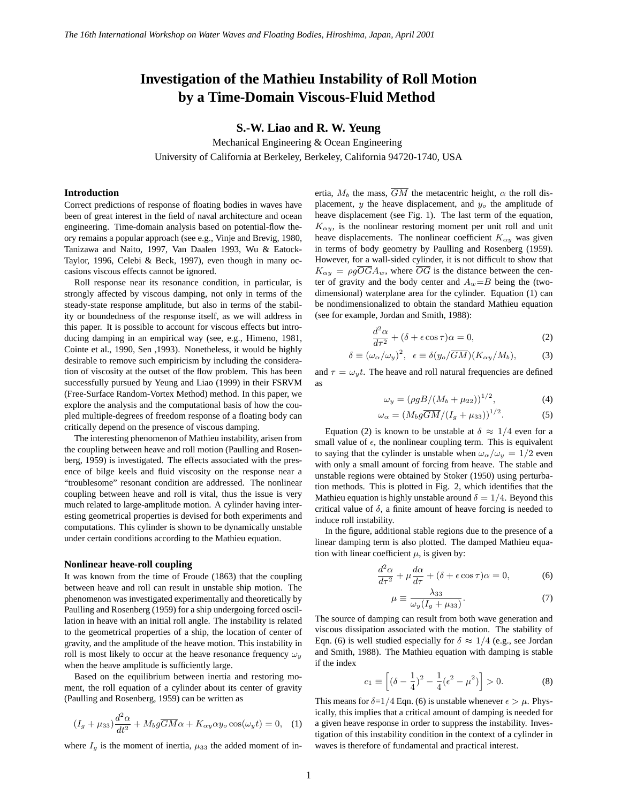# **Investigation of the Mathieu Instability of Roll Motion by a Time-Domain Viscous-Fluid Method**

**S.-W. Liao and R. W. Yeung**

Mechanical Engineering & Ocean Engineering University of California at Berkeley, Berkeley, California 94720-1740, USA

### **Introduction**

Correct predictions of response of floating bodies in waves have been of great interest in the field of naval architecture and ocean engineering. Time-domain analysis based on potential-flow theory remains a popular approach (see e.g., Vinje and Brevig, 1980, Tanizawa and Naito, 1997, Van Daalen 1993, Wu & Eatock-Taylor, 1996, Celebi & Beck, 1997), even though in many occasions viscous effects cannot be ignored.

Roll response near its resonance condition, in particular, is strongly affected by viscous damping, not only in terms of the steady-state response amplitude, but also in terms of the stability or boundedness of the response itself, as we will address in this paper. It is possible to account for viscous effects but introducing damping in an empirical way (see, e.g., Himeno, 1981, Cointe et al., 1990, Sen ,1993). Nonetheless, it would be highly desirable to remove such empiricism by including the consideration of viscosity at the outset of the flow problem. This has been successfully pursued by Yeung and Liao (1999) in their FSRVM (Free-Surface Random-Vortex Method) method. In this paper, we explore the analysis and the computational basis of how the coupled multiple-degrees of freedom response of a floating body can critically depend on the presence of viscous damping.

The interesting phenomenon of Mathieu instability, arisen from the coupling between heave and roll motion (Paulling and Rosenberg, 1959) is investigated. The effects associated with the presence of bilge keels and fluid viscosity on the response near a "troublesome" resonant condition are addressed. The nonlinear coupling between heave and roll is vital, thus the issue is very much related to large-amplitude motion. A cylinder having interesting geometrical properties is devised for both experiments and computations. This cylinder is shown to be dynamically unstable under certain conditions according to the Mathieu equation.

#### **Nonlinear heave-roll coupling**

It was known from the time of Froude (1863) that the coupling between heave and roll can result in unstable ship motion. The phenomenon was investigated experimentally and theoretically by Paulling and Rosenberg (1959) for a ship undergoing forced oscillation in heave with an initial roll angle. The instability is related to the geometrical properties of a ship, the location of center of gravity, and the amplitude of the heave motion. This instability in roll is most likely to occur at the heave resonance frequency  $\omega_y$ when the heave amplitude is sufficiently large.

Based on the equilibrium between inertia and restoring moment, the roll equation of a cylinder about its center of gravity (Paulling and Rosenberg, 1959) can be written as

$$
(I_g + \mu_{33})\frac{d^2\alpha}{dt^2} + M_b g \overline{GM}\alpha + K_{\alpha y} \alpha y_o \cos(\omega_y t) = 0, \quad (1)
$$

where  $I<sub>g</sub>$  is the moment of inertia,  $\mu_{33}$  the added moment of in-

ertia,  $M_b$  the mass,  $\overline{GM}$  the metacentric height,  $\alpha$  the roll displacement,  $y$  the heave displacement, and  $y<sub>o</sub>$  the amplitude of heave displacement (see Fig. 1). The last term of the equation,  $K_{\alpha y}$ , is the nonlinear restoring moment per unit roll and unit heave displacements. The nonlinear coefficient  $K_{\alpha y}$  was given in terms of body geometry by Paulling and Rosenberg (1959). However, for a wall-sided cylinder, it is not difficult to show that  $K_{\alpha y} = \rho g \overline{O} \overline{G} A_w$ , where  $\overline{O} \overline{G}$  is the distance between the center of gravity and the body center and  $A_w = B$  being the (twodimensional) waterplane area for the cylinder. Equation (1) can be nondimensionalized to obtain the standard Mathieu equation (see for example, Jordan and Smith, 1988):

$$
\frac{d^2\alpha}{d\tau^2} + (\delta + \epsilon \cos \tau)\alpha = 0,\tag{2}
$$

$$
\delta \equiv (\omega_{\alpha}/\omega_{y})^{2}, \ \ \epsilon \equiv \delta(y_{o}/\overline{GM})(K_{\alpha y}/M_{b}), \tag{3}
$$

and  $\tau = \omega_y t$ . The heave and roll natural frequencies are defined as

$$
\omega_y = (\rho g B / (M_b + \mu_{22}))^{1/2}, \tag{4}
$$

$$
\omega_{\alpha} = \left(M_b g \overline{GM}/(I_g + \mu_{33})\right)^{1/2}.\tag{5}
$$

Equation (2) is known to be unstable at  $\delta \approx 1/4$  even for a small value of  $\epsilon$ , the nonlinear coupling term. This is equivalent to saying that the cylinder is unstable when  $\omega_{\alpha}/\omega_y = 1/2$  even with only a small amount of forcing from heave. The stable and unstable regions were obtained by Stoker (1950) using perturbation methods. This is plotted in Fig. 2, which identifies that the Mathieu equation is highly unstable around  $\delta = 1/4$ . Beyond this critical value of  $\delta$ , a finite amount of heave forcing is needed to induce roll instability.

In the figure, additional stable regions due to the presence of a linear damping term is also plotted. The damped Mathieu equation with linear coefficient  $\mu$ , is given by:

$$
\frac{d^2\alpha}{d\tau^2} + \mu \frac{d\alpha}{d\tau} + (\delta + \epsilon \cos \tau)\alpha = 0, \tag{6}
$$

$$
\mu \equiv \frac{\lambda_{33}}{\omega_y (I_g + \mu_{33})}.\tag{7}
$$

The source of damping can result from both wave generation and viscous dissipation associated with the motion. The stability of Eqn. (6) is well studied especially for  $\delta \approx 1/4$  (e.g., see Jordan and Smith, 1988). The Mathieu equation with damping is stable if the index

$$
c_1 \equiv \left[ (\delta - \frac{1}{4})^2 - \frac{1}{4} (\epsilon^2 - \mu^2) \right] > 0.
$$
 (8)

This means for  $\delta = 1/4$  Eqn. (6) is unstable whenever  $\epsilon > \mu$ . Physically, this implies that a critical amount of damping is needed for a given heave response in order to suppress the instability. Investigation of this instability condition in the context of a cylinder in waves is therefore of fundamental and practical interest.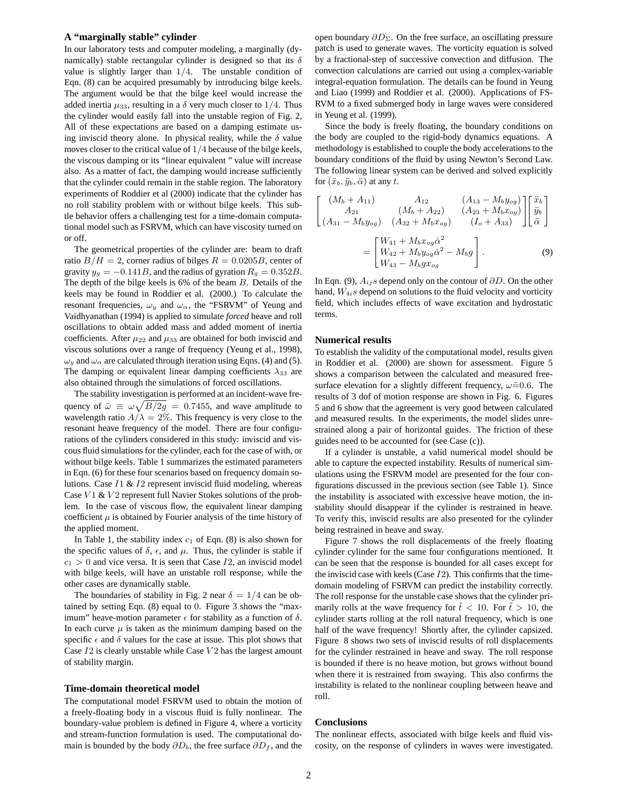### **A "marginally stable" cylinder**

In our laboratory tests and computer modeling, a marginally (dynamically) stable rectangular cylinder is designed so that its  $\delta$ value is slightly larger than  $1/4$ . The unstable condition of Eqn. (8) can be acquired presumably by introducing bilge keels. The argument would be that the bilge keel would increase the added inertia  $\mu_{33}$ , resulting in a  $\delta$  very much closer to 1/4. Thus the cylinder would easily fall into the unstable region of Fig. 2, All of these expectations are based on a damping estimate using inviscid theory alone. In physical reality, while the  $\delta$  value moves closer to the critical value of 1/4 because of the bilge keels, the viscous damping or its "linear equivalent " value will increase also. As a matter of fact, the damping would increase sufficiently that the cylinder could remain in the stable region. The laboratory experiments of Roddier et al (2000) indicate that the cylinder has no roll stability problem with or without bilge keels. This subtle behavior offers a challenging test for a time-domain computational model such as FSRVM, which can have viscosity turned on or off.

The geometrical properties of the cylinder are: beam to draft ratio  $B/H = 2$ , corner radius of bilges  $R = 0.0205B$ , center of gravity  $y_g = -0.141B$ , and the radius of gyration  $R_g = 0.352B$ . The depth of the bilge keels is 6% of the beam B. Details of the keels may be found in Roddier et al. (2000.) To calculate the resonant frequencies,  $\omega_y$  and  $\omega_\alpha$ , the "FSRVM" of Yeung and Vaidhyanathan (1994) is applied to simulate *forced* heave and roll oscillations to obtain added mass and added moment of inertia coefficients. After  $\mu_{22}$  and  $\mu_{33}$  are obtained for both inviscid and viscous solutions over a range of frequency (Yeung et al., 1998),  $\omega_y$  and  $\omega_\alpha$  are calculated through iteration using Eqns. (4) and (5). The damping or equivalent linear damping coefficients  $\lambda_{33}$  are also obtained through the simulations of forced oscillations.

The stability investigation is performed at an incident-wave frequency of  $\tilde{\omega} \equiv \omega \sqrt{B/2g} = 0.7455$ , and wave amplitude to wavelength ratio  $A/\lambda = 2\%$ . This frequency is very close to the resonant heave frequency of the model. There are four configurations of the cylinders considered in this study: inviscid and viscous fluid simulations for the cylinder, each for the case of with, or without bilge keels. Table 1 summarizes the estimated parameters in Eqn. (6) for these four scenarios based on frequency domain solutions. Case  $I1 \& I2$  represent inviscid fluid modeling, whereas Case  $V1 \& V2$  represent full Navier Stokes solutions of the problem. In the case of viscous flow, the equivalent linear damping coefficient  $\mu$  is obtained by Fourier analysis of the time history of the applied moment.

In Table 1, the stability index  $c_1$  of Eqn. (8) is also shown for the specific values of  $\delta$ ,  $\epsilon$ , and  $\mu$ . Thus, the cylinder is stable if  $c_1 > 0$  and vice versa. It is seen that Case  $I2$ , an inviscid model with bilge keels, will have an unstable roll response, while the other cases are dynamically stable.

The boundaries of stability in Fig. 2 near  $\delta = 1/4$  can be obtained by setting Eqn. (8) equal to 0. Figure 3 shows the "maximum" heave-motion parameter  $\epsilon$  for stability as a function of  $\delta$ . In each curve  $\mu$  is taken as the minimum damping based on the specific  $\epsilon$  and  $\delta$  values for the case at issue. This plot shows that Case  $I2$  is clearly unstable while Case  $V2$  has the largest amount of stability margin.

#### **Time-domain theoretical model**

The computational model FSRVM used to obtain the motion of a freely-floating body in a viscous fluid is fully nonlinear. The boundary-value problem is defined in Figure 4, where a vorticity and stream-function formulation is used. The computational domain is bounded by the body  $\partial D_b$ , the free surface  $\partial D_f$ , and the

open boundary  $\partial D_{\Sigma}$ . On the free surface, an oscillating pressure patch is used to generate waves. The vorticity equation is solved by a fractional-step of successive convection and diffusion. The convection calculations are carried out using a complex-variable integral-equation formulation. The details can be found in Yeung and Liao (1999) and Roddier et al. (2000). Applications of FS-RVM to a fixed submerged body in large waves were considered in Yeung et al. (1999).

Since the body is freely floating, the boundary conditions on the body are coupled to the rigid-body dynamics equations. A methodology is established to couple the body accelerations to the boundary conditions of the fluid by using Newton's Second Law. The following linear system can be derived and solved explicitly for  $(\ddot{x}_b, \ddot{y}_b, \ddot{\alpha})$  at any t.

$$
\begin{bmatrix}\n(M_b + A_{11}) & A_{12} & (A_{13} - M_b y_{og}) \\
A_{21} & (M_b + A_{22}) & (A_{23} + M_b x_{og}) \\
(A_{31} - M_b y_{og}) & (A_{32} + M_b x_{og}) & (I_o + A_{33})\n\end{bmatrix}\n\begin{bmatrix}\n\ddot{x}_b \\
\ddot{y}_b \\
\ddot{\alpha}\n\end{bmatrix}
$$
\n
$$
= \begin{bmatrix}\nW_{41} + M_b x_{og} \dot{\alpha}^2 \\
W_{42} + M_b y_{og} \dot{\alpha}^2 - M_b g \\
W_{43} - M_b g x_{og}\n\end{bmatrix}.
$$
\n(9)

In Eqn. (9),  $A_{ij}$  s depend only on the contour of  $\partial D$ . On the other hand,  $W_{4i}$ s depend on solutions to the fluid velocity and vorticity field, which includes effects of wave excitation and hydrostatic terms.

## **Numerical results**

To establish the validity of the computational model, results given in Roddier et al. (2000) are shown for assessment. Figure 5 shows a comparison between the calculated and measured freesurface elevation for a slightly different frequency,  $\omega \tilde{=} 0.6$ . The results of 3 dof of motion response are shown in Fig. 6. Figures 5 and 6 show that the agreement is very good between calculated and measured results. In the experiments, the model slides unrestrained along a pair of horizontal guides. The friction of these guides need to be accounted for (see Case (c)).

If a cylinder is unstable, a valid numerical model should be able to capture the expected instability. Results of numerical simulations using the FSRVM model are presented for the four configurations discussed in the previous section (see Table 1). Since the instability is associated with excessive heave motion, the instability should disappear if the cylinder is restrained in heave. To verify this, inviscid results are also presented for the cylinder being restrained in heave and sway.

Figure 7 shows the roll displacements of the freely floating cylinder cylinder for the same four configurations mentioned. It can be seen that the response is bounded for all cases except for the inviscid case with keels (Case  $I2$ ). This confirms that the timedomain modeling of FSRVM can predict the instability correctly. The roll response for the unstable case shows that the cylinder primarily rolls at the wave frequency for  $\tilde{t}$  < 10. For  $\tilde{t}$  > 10, the cylinder starts rolling at the roll natural frequency, which is one half of the wave frequency! Shortly after, the cylinder capsized. Figure 8 shows two sets of inviscid results of roll displacements for the cylinder restrained in heave and sway. The roll response is bounded if there is no heave motion, but grows without bound when there it is restrained from swaying. This also confirms the instability is related to the nonlinear coupling between heave and roll.

# **Conclusions**

The nonlinear effects, associated with bilge keels and fluid viscosity, on the response of cylinders in waves were investigated.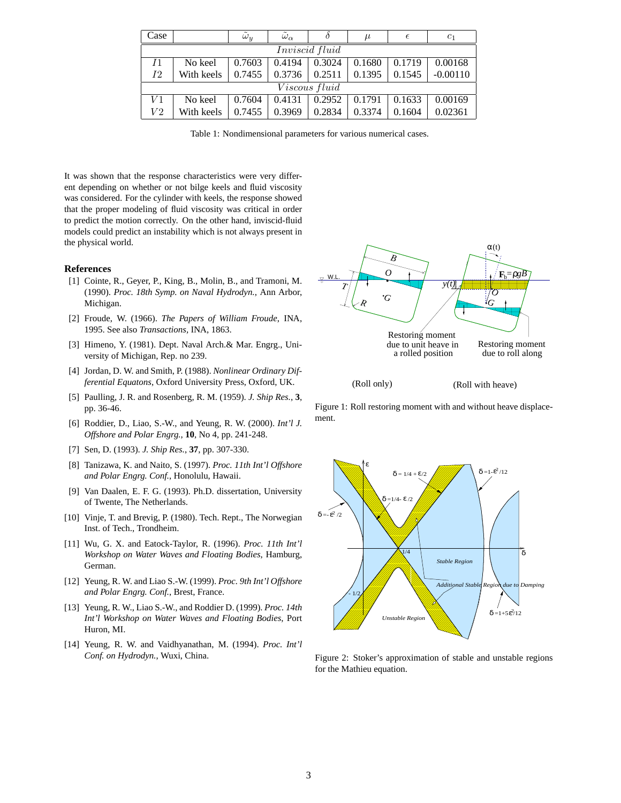| Case                 |            | $\omega_y$ | $\omega_{\alpha}$ |        | $\mu$  | €      | $c_1$      |
|----------------------|------------|------------|-------------------|--------|--------|--------|------------|
| Inviscid fluid       |            |            |                   |        |        |        |            |
| I <sub>1</sub>       | No keel    | 0.7603     | 0.4194            | 0.3024 | 0.1680 | 0.1719 | 0.00168    |
| 12                   | With keels | 0.7455     | 0.3736            | 0.2511 | 0.1395 | 0.1545 | $-0.00110$ |
| <i>Viscous fluid</i> |            |            |                   |        |        |        |            |
| V1                   | No keel    | 0.7604     | 0.4131            | 0.2952 | 0.1791 | 0.1633 | 0.00169    |
| V2                   | With keels | 0.7455     | 0.3969            | 0.2834 | 0.3374 | 0.1604 | 0.02361    |

Table 1: Nondimensional parameters for various numerical cases.

It was shown that the response characteristics were very different depending on whether or not bilge keels and fluid viscosity was considered. For the cylinder with keels, the response showed that the proper modeling of fluid viscosity was critical in order to predict the motion correctly. On the other hand, inviscid-fluid models could predict an instability which is not always present in the physical world.

# **References**

- [1] Cointe, R., Geyer, P., King, B., Molin, B., and Tramoni, M. (1990). *Proc. 18th Symp. on Naval Hydrodyn.*, Ann Arbor, Michigan.
- [2] Froude, W. (1966). *The Papers of William Froude*, INA, 1995. See also *Transactions,* INA, 1863.
- [3] Himeno, Y. (1981). Dept. Naval Arch.& Mar. Engrg., University of Michigan, Rep. no 239.
- [4] Jordan, D. W. and Smith, P. (1988). *Nonlinear Ordinary Differential Equatons*, Oxford University Press, Oxford, UK.
- [5] Paulling, J. R. and Rosenberg, R. M. (1959). *J. Ship Res.*, **3**, pp. 36-46.
- [6] Roddier, D., Liao, S.-W., and Yeung, R. W. (2000). *Int'l J. Offshore and Polar Engrg.*, **10**, No 4, pp. 241-248.
- [7] Sen, D. (1993). *J. Ship Res.*, **37**, pp. 307-330.
- [8] Tanizawa, K. and Naito, S. (1997). *Proc. 11th Int'l Offshore and Polar Engrg. Conf.*, Honolulu, Hawaii.
- [9] Van Daalen, E. F. G. (1993). Ph.D. dissertation, University of Twente, The Netherlands.
- [10] Vinje, T. and Brevig, P. (1980). Tech. Rept., The Norwegian Inst. of Tech., Trondheim.
- [11] Wu, G. X. and Eatock-Taylor, R. (1996). *Proc. 11th Int'l Workshop on Water Waves and Floating Bodies*, Hamburg, German.
- [12] Yeung, R. W. and Liao S.-W. (1999). *Proc. 9th Int'l Offshore and Polar Engrg. Conf.*, Brest, France.
- [13] Yeung, R. W., Liao S.-W., and Roddier D. (1999). *Proc. 14th Int'l Workshop on Water Waves and Floating Bodies*, Port Huron, MI.
- [14] Yeung, R. W. and Vaidhyanathan, M. (1994). *Proc. Int'l Conf. on Hydrodyn.*, Wuxi, China.



Figure 1: Roll restoring moment with and without heave displacement.



Figure 2: Stoker's approximation of stable and unstable regions for the Mathieu equation.